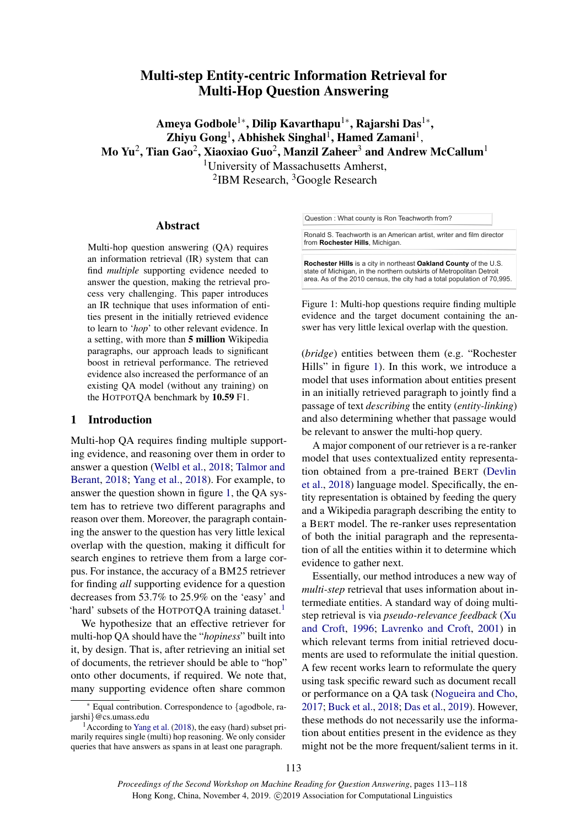# Multi-step Entity-centric Information Retrieval for Multi-Hop Question Answering

Ameya Godbole $^{1*}$ , Dilip Kavarthapu $^{1*}$ , Rajarshi Das $^{1*}$ ,  $\mathbf{Z}$ hiyu  $\mathbf{Gong}^1$ , Abhishek Singhal<sup>1</sup>, Hamed  $\mathbf{Zamani}^1$ , Mo Yu $^2$ , Tian Gao $^2$ , Xiaoxiao Guo $^2$ , Manzil Zaheer $^3$  and Andrew McCallum $^1$ <sup>1</sup>University of Massachusetts Amherst, <sup>2</sup>IBM Research, <sup>3</sup>Google Research

### Abstract

[M](#page-0-0)ulti-hop question answering (QA) requires an information retrieval (IR) system that can find *multiple* supporting evidence needed to answer the question, making the retrieval process very challenging. This paper introduces an IR technique that uses information of entities present in the initially retrieved evidence to learn to '*hop*' to other relevant evidence. In a setting, with more than 5 million Wikipedia paragraphs, our approach leads to significant boost in retrieval performance. The retrieved evidence also increased the performance of an existing QA model (without any training) on the HOTPOTQA benchmark by 10.59 F1.

### 1 Introduction

Multi-hop QA requires finding multiple supporting evidence, and reasoning over them in order to answer a question [\(Welbl et al.,](#page-5-0) [2018;](#page-5-0) [Talmor and](#page-5-1) [Berant,](#page-5-1) [2018;](#page-5-1) [Yang et al.,](#page-5-2) [2018\)](#page-5-2). For example, to answer the question shown in figure [1,](#page-0-1) the QA system has to retrieve two different paragraphs and reason over them. Moreover, the paragraph containing the answer to the question has very little lexical overlap with the question, making it difficult for search engines to retrieve them from a large corpus. For instance, the accuracy of a BM25 retriever for finding *all* supporting evidence for a question decreases from 53.7% to 25.9% on the 'easy' and 'hard' subsets of the HOTPOTQA training dataset.<sup>[1](#page-0-2)</sup>

We hypothesize that an effective retriever for multi-hop QA should have the "*hopiness*" built into it, by design. That is, after retrieving an initial set of documents, the retriever should be able to "hop" onto other documents, if required. We note that, many supporting evidence often share common

<span id="page-0-1"></span>Question : What county is Ron Teachworth from?

Ronald S. Teachworth is an American artist, writer and film director from **Rochester Hills**, Michigan.

**Rochester Hills** is a city in northeast **Oakland County** of the U.S. state of Michigan, in the northern outskirts of Metropolitan Detroit area. As of the 2010 census, the city had a total population of 70,995.

Figure 1: Multi-hop questions require finding multiple evidence and the target document containing the answer has very little lexical overlap with the question.

(*bridge*) entities between them (e.g. "Rochester Hills" in figure [1\)](#page-0-1). In this work, we introduce a model that uses information about entities present in an initially retrieved paragraph to jointly find a passage of text *describing* the entity (*entity-linking*) and also determining whether that passage would be relevant to answer the multi-hop query.

A major component of our retriever is a re-ranker model that uses contextualized entity representation obtained from a pre-trained BERT [\(Devlin](#page-5-3) [et al.,](#page-5-3) [2018\)](#page-5-3) language model. Specifically, the entity representation is obtained by feeding the query and a Wikipedia paragraph describing the entity to a BERT model. The re-ranker uses representation of both the initial paragraph and the representation of all the entities within it to determine which evidence to gather next.

Essentially, our method introduces a new way of *multi-step* retrieval that uses information about intermediate entities. A standard way of doing multistep retrieval is via *pseudo-relevance feedback* [\(Xu](#page-5-4) [and Croft,](#page-5-4) [1996;](#page-5-4) [Lavrenko and Croft,](#page-5-5) [2001\)](#page-5-5) in which relevant terms from initial retrieved documents are used to reformulate the initial question. A few recent works learn to reformulate the query using task specific reward such as document recall or performance on a QA task [\(Nogueira and Cho,](#page-5-6) [2017;](#page-5-6) [Buck et al.,](#page-4-0) [2018;](#page-4-0) [Das et al.,](#page-4-1) [2019\)](#page-4-1). However, these methods do not necessarily use the information about entities present in the evidence as they might not be the more frequent/salient terms in it.

<span id="page-0-0"></span><sup>∗</sup> Equal contribution. Correspondence to {agodbole, rajarshi}@cs.umass.edu

<span id="page-0-2"></span><sup>1</sup>According to [Yang et al.](#page-5-2) [\(2018\)](#page-5-2), the easy (hard) subset primarily requires single (multi) hop reasoning. We only consider queries that have answers as spans in at least one paragraph.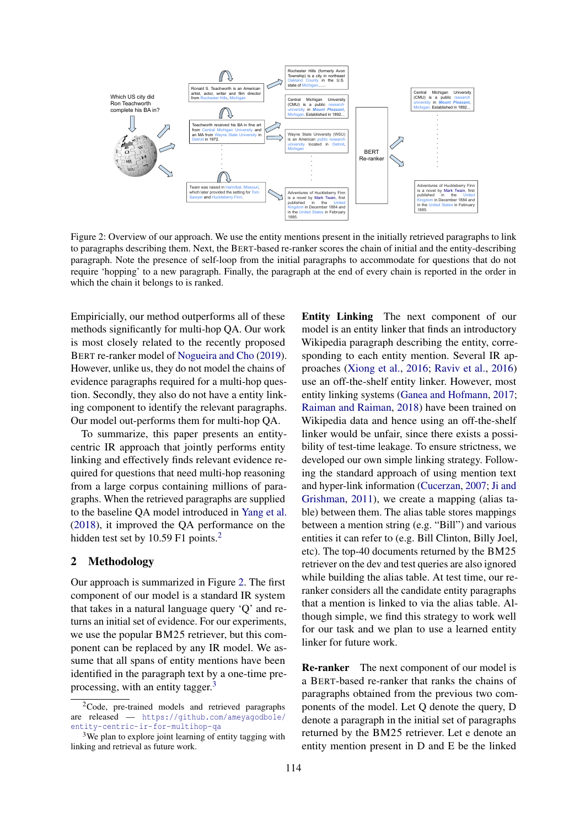<span id="page-1-1"></span>

Figure 2: Overview of our approach. We use the entity mentions present in the initially retrieved paragraphs to link to paragraphs describing them. Next, the BERT-based re-ranker scores the chain of initial and the entity-describing paragraph. Note the presence of self-loop from the initial paragraphs to accommodate for questions that do not require 'hopping' to a new paragraph. Finally, the paragraph at the end of every chain is reported in the order in which the chain it belongs to is ranked.

Empiricially, our method outperforms all of these methods significantly for multi-hop QA. Our work is most closely related to the recently proposed BERT re-ranker model of [Nogueira and Cho](#page-5-7) [\(2019\)](#page-5-7). However, unlike us, they do not model the chains of evidence paragraphs required for a multi-hop question. Secondly, they also do not have a entity linking component to identify the relevant paragraphs. Our model out-performs them for multi-hop QA.

To summarize, this paper presents an entitycentric IR approach that jointly performs entity linking and effectively finds relevant evidence required for questions that need multi-hop reasoning from a large corpus containing millions of paragraphs. When the retrieved paragraphs are supplied to the baseline QA model introduced in [Yang et al.](#page-5-2) [\(2018\)](#page-5-2), it improved the QA performance on the hidden test set by 10.59 F1 points.<sup>[2](#page-1-0)</sup>

#### 2 Methodology

Our approach is summarized in Figure [2.](#page-1-1) The first component of our model is a standard IR system that takes in a natural language query 'Q' and returns an initial set of evidence. For our experiments, we use the popular BM25 retriever, but this component can be replaced by any IR model. We assume that all spans of entity mentions have been identified in the paragraph text by a one-time pre-processing, with an entity tagger.<sup>[3](#page-1-2)</sup>

Entity Linking The next component of our model is an entity linker that finds an introductory Wikipedia paragraph describing the entity, corresponding to each entity mention. Several IR approaches [\(Xiong et al.,](#page-5-8) [2016;](#page-5-8) [Raviv et al.,](#page-5-9) [2016\)](#page-5-9) use an off-the-shelf entity linker. However, most entity linking systems [\(Ganea and Hofmann,](#page-5-10) [2017;](#page-5-10) [Raiman and Raiman,](#page-5-11) [2018\)](#page-5-11) have been trained on Wikipedia data and hence using an off-the-shelf linker would be unfair, since there exists a possibility of test-time leakage. To ensure strictness, we developed our own simple linking strategy. Following the standard approach of using mention text and hyper-link information [\(Cucerzan,](#page-4-2) [2007;](#page-4-2) [Ji and](#page-5-12) [Grishman,](#page-5-12) [2011\)](#page-5-12), we create a mapping (alias table) between them. The alias table stores mappings between a mention string (e.g. "Bill") and various entities it can refer to (e.g. Bill Clinton, Billy Joel, etc). The top-40 documents returned by the BM25 retriever on the dev and test queries are also ignored while building the alias table. At test time, our reranker considers all the candidate entity paragraphs that a mention is linked to via the alias table. Although simple, we find this strategy to work well for our task and we plan to use a learned entity linker for future work.

Re-ranker The next component of our model is a BERT-based re-ranker that ranks the chains of paragraphs obtained from the previous two components of the model. Let Q denote the query, D denote a paragraph in the initial set of paragraphs returned by the BM25 retriever. Let e denote an entity mention present in D and E be the linked

<span id="page-1-0"></span><sup>&</sup>lt;sup>2</sup>Code, pre-trained models and retrieved paragraphs are released — [https://github.com/ameyagodbole/](https://github.com/ameyagodbole/entity-centric-ir-for-multihop-qa) [entity-centric-ir-for-multihop-qa](https://github.com/ameyagodbole/entity-centric-ir-for-multihop-qa)

<span id="page-1-2"></span><sup>3</sup>We plan to explore joint learning of entity tagging with linking and retrieval as future work.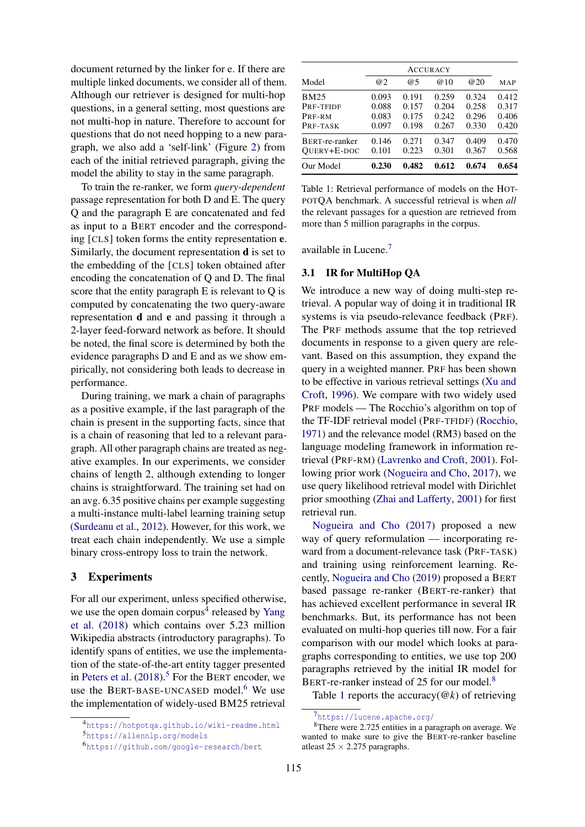document returned by the linker for e. If there are multiple linked documents, we consider all of them. Although our retriever is designed for multi-hop questions, in a general setting, most questions are not multi-hop in nature. Therefore to account for questions that do not need hopping to a new paragraph, we also add a 'self-link' (Figure [2\)](#page-1-1) from each of the initial retrieved paragraph, giving the model the ability to stay in the same paragraph.

To train the re-ranker, we form *query-dependent* passage representation for both D and E. The query Q and the paragraph E are concatenated and fed as input to a BERT encoder and the corresponding [CLS] token forms the entity representation e. Similarly, the document representation d is set to the embedding of the [CLS] token obtained after encoding the concatenation of Q and D. The final score that the entity paragraph E is relevant to Q is computed by concatenating the two query-aware representation d and e and passing it through a 2-layer feed-forward network as before. It should be noted, the final score is determined by both the evidence paragraphs D and E and as we show empirically, not considering both leads to decrease in performance.

During training, we mark a chain of paragraphs as a positive example, if the last paragraph of the chain is present in the supporting facts, since that is a chain of reasoning that led to a relevant paragraph. All other paragraph chains are treated as negative examples. In our experiments, we consider chains of length 2, although extending to longer chains is straightforward. The training set had on an avg. 6.35 positive chains per example suggesting a multi-instance multi-label learning training setup [\(Surdeanu et al.,](#page-5-13) [2012\)](#page-5-13). However, for this work, we treat each chain independently. We use a simple binary cross-entropy loss to train the network.

### 3 Experiments

For all our experiment, unless specified otherwise, we use the open domain corpus<sup>[4](#page-2-0)</sup> released by [Yang](#page-5-2) [et al.](#page-5-2) [\(2018\)](#page-5-2) which contains over 5.23 million Wikipedia abstracts (introductory paragraphs). To identify spans of entities, we use the implementation of the state-of-the-art entity tagger presented in [Peters et al.](#page-5-14)  $(2018)$ .<sup>[5](#page-2-1)</sup> For the BERT encoder, we use the BERT-BASE-UNCASED model.<sup>[6](#page-2-2)</sup> We use the implementation of widely-used BM25 retrieval

<span id="page-2-5"></span>

| Model          | @2    | @5    | @10   | @20   | MAP   |
|----------------|-------|-------|-------|-------|-------|
| <b>BM25</b>    | 0.093 | 0.191 | 0.259 | 0.324 | 0.412 |
| PRF-TFIDF      | 0.088 | 0.157 | 0.204 | 0.258 | 0.317 |
| PRF-RM         | 0.083 | 0.175 | 0.242 | 0.296 | 0.406 |
| PRF-TASK       | 0.097 | 0.198 | 0.267 | 0.330 | 0.420 |
| BERT-re-ranker | 0.146 | 0.271 | 0.347 | 0.409 | 0.470 |
| QUERY+E-DOC    | 0.101 | 0.223 | 0.301 | 0.367 | 0.568 |
| Our Model      | 0.230 | 0.482 | 0.612 | 0.674 | 0.654 |

Table 1: Retrieval performance of models on the HOT-POTQA benchmark. A successful retrieval is when *all* the relevant passages for a question are retrieved from more than 5 million paragraphs in the corpus.

available in Lucene.[7](#page-2-3)

# 3.1 IR for MultiHop QA

We introduce a new way of doing multi-step retrieval. A popular way of doing it in traditional IR systems is via pseudo-relevance feedback (PRF). The PRF methods assume that the top retrieved documents in response to a given query are relevant. Based on this assumption, they expand the query in a weighted manner. PRF has been shown to be effective in various retrieval settings [\(Xu and](#page-5-4) [Croft,](#page-5-4) [1996\)](#page-5-4). We compare with two widely used PRF models — The Rocchio's algorithm on top of the TF-IDF retrieval model (PRF-TFIDF) [\(Rocchio,](#page-5-15) [1971\)](#page-5-15) and the relevance model (RM3) based on the language modeling framework in information retrieval (PRF-RM) [\(Lavrenko and Croft,](#page-5-5) [2001\)](#page-5-5). Following prior work [\(Nogueira and Cho,](#page-5-6) [2017\)](#page-5-6), we use query likelihood retrieval model with Dirichlet prior smoothing [\(Zhai and Lafferty,](#page-5-16) [2001\)](#page-5-16) for first retrieval run.

[Nogueira and Cho](#page-5-6) [\(2017\)](#page-5-6) proposed a new way of query reformulation — incorporating reward from a document-relevance task (PRF-TASK) and training using reinforcement learning. Recently, [Nogueira and Cho](#page-5-7) [\(2019\)](#page-5-7) proposed a BERT based passage re-ranker (BERT-re-ranker) that has achieved excellent performance in several IR benchmarks. But, its performance has not been evaluated on multi-hop queries till now. For a fair comparison with our model which looks at paragraphs corresponding to entities, we use top 200 paragraphs retrieved by the initial IR model for BERT-re-ranker instead of 25 for our model.<sup>[8](#page-2-4)</sup>

Table [1](#page-2-5) reports the accuracy( $@k$ ) of retrieving

<span id="page-2-1"></span><span id="page-2-0"></span><sup>4</sup><https://hotpotqa.github.io/wiki-readme.html> <sup>5</sup><https://allennlp.org/models>

<span id="page-2-2"></span><sup>6</sup><https://github.com/google-research/bert>

<span id="page-2-4"></span><span id="page-2-3"></span><sup>7</sup><https://lucene.apache.org/>

<sup>8</sup>There were 2.725 entities in a paragraph on average. We wanted to make sure to give the BERT-re-ranker baseline atleast  $25 \times 2.275$  paragraphs.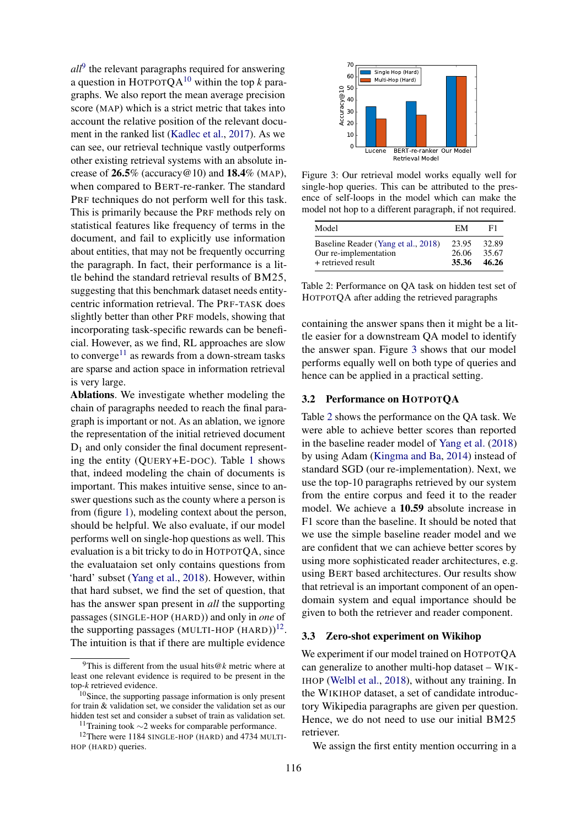*all*[9](#page-3-0) the relevant paragraphs required for answering a question in HOTPOT $OA^{10}$  $OA^{10}$  $OA^{10}$  within the top *k* paragraphs. We also report the mean average precision score (MAP) which is a strict metric that takes into account the relative position of the relevant document in the ranked list [\(Kadlec et al.,](#page-5-17) [2017\)](#page-5-17). As we can see, our retrieval technique vastly outperforms other existing retrieval systems with an absolute increase of  $26.5\%$  (accuracy @10) and  $18.4\%$  (MAP), when compared to BERT-re-ranker. The standard PRF techniques do not perform well for this task. This is primarily because the PRF methods rely on statistical features like frequency of terms in the document, and fail to explicitly use information about entities, that may not be frequently occurring the paragraph. In fact, their performance is a little behind the standard retrieval results of BM25, suggesting that this benchmark dataset needs entitycentric information retrieval. The PRF-TASK does slightly better than other PRF models, showing that incorporating task-specific rewards can be beneficial. However, as we find, RL approaches are slow to converge<sup>[11](#page-3-2)</sup> as rewards from a down-stream tasks are sparse and action space in information retrieval is very large.

Ablations. We investigate whether modeling the chain of paragraphs needed to reach the final paragraph is important or not. As an ablation, we ignore the representation of the initial retrieved document  $D_1$  and only consider the final document representing the entity (QUERY+E-DOC). Table [1](#page-2-5) shows that, indeed modeling the chain of documents is important. This makes intuitive sense, since to answer questions such as the county where a person is from (figure [1\)](#page-0-1), modeling context about the person, should be helpful. We also evaluate, if our model performs well on single-hop questions as well. This evaluation is a bit tricky to do in HOTPOTQA, since the evaluataion set only contains questions from 'hard' subset [\(Yang et al.,](#page-5-2) [2018\)](#page-5-2). However, within that hard subset, we find the set of question, that has the answer span present in *all* the supporting passages (SINGLE-HOP (HARD)) and only in *one* of the supporting passages (MULTI-HOP (HARD)) $^{12}$  $^{12}$  $^{12}$ . The intuition is that if there are multiple evidence

<span id="page-3-4"></span>

Figure 3: Our retrieval model works equally well for single-hop queries. This can be attributed to the presence of self-loops in the model which can make the model not hop to a different paragraph, if not required.

<span id="page-3-5"></span>

| Model                                                        | EM             | F1             |
|--------------------------------------------------------------|----------------|----------------|
| Baseline Reader (Yang et al., 2018)<br>Our re-implementation | 23.95<br>26.06 | 32.89<br>35.67 |
| + retrieved result                                           | 35.36          | 46.26          |

Table 2: Performance on QA task on hidden test set of HOTPOTQA after adding the retrieved paragraphs

containing the answer spans then it might be a little easier for a downstream QA model to identify the answer span. Figure [3](#page-3-4) shows that our model performs equally well on both type of queries and hence can be applied in a practical setting.

#### 3.2 Performance on HOTPOTQA

Table [2](#page-3-5) shows the performance on the QA task. We were able to achieve better scores than reported in the baseline reader model of [Yang et al.](#page-5-2) [\(2018\)](#page-5-2) by using Adam [\(Kingma and Ba,](#page-5-18) [2014\)](#page-5-18) instead of standard SGD (our re-implementation). Next, we use the top-10 paragraphs retrieved by our system from the entire corpus and feed it to the reader model. We achieve a 10.59 absolute increase in F1 score than the baseline. It should be noted that we use the simple baseline reader model and we are confident that we can achieve better scores by using more sophisticated reader architectures, e.g. using BERT based architectures. Our results show that retrieval is an important component of an opendomain system and equal importance should be given to both the retriever and reader component.

#### 3.3 Zero-shot experiment on Wikihop

We experiment if our model trained on HOTPOTQA can generalize to another multi-hop dataset – WIK-IHOP [\(Welbl et al.,](#page-5-0) [2018\)](#page-5-0), without any training. In the WIKIHOP dataset, a set of candidate introductory Wikipedia paragraphs are given per question. Hence, we do not need to use our initial BM25 retriever.

We assign the first entity mention occurring in a

<span id="page-3-0"></span><sup>9</sup>This is different from the usual hits@*k* metric where at least one relevant evidence is required to be present in the top-*k* retrieved evidence.

<span id="page-3-1"></span> $10$ Since, the supporting passage information is only present for train & validation set, we consider the validation set as our hidden test set and consider a subset of train as validation set.

<span id="page-3-3"></span><span id="page-3-2"></span><sup>11</sup>Training took ∼2 weeks for comparable performance.

<sup>12</sup>There were 1184 SINGLE-HOP (HARD) and 4734 MULTI-HOP (HARD) queries.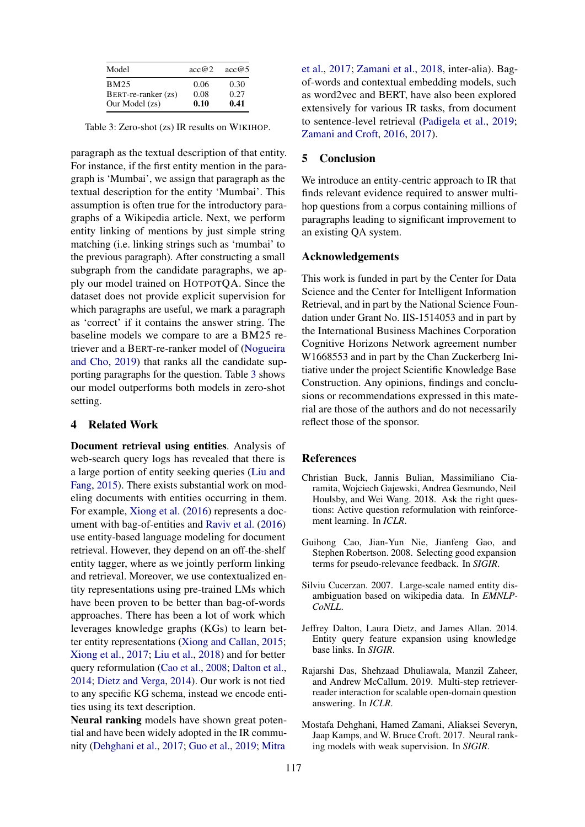<span id="page-4-3"></span>

| Model               | acc@2 | acc@5 |
|---------------------|-------|-------|
| <b>BM25</b>         | 0.06  | 0.30  |
| BERT-re-ranker (zs) | 0.08  | 0.27  |
| Our Model (zs)      | 0.10  | 0.41  |

Table 3: Zero-shot (zs) IR results on WIKIHOP.

paragraph as the textual description of that entity. For instance, if the first entity mention in the paragraph is 'Mumbai', we assign that paragraph as the textual description for the entity 'Mumbai'. This assumption is often true for the introductory paragraphs of a Wikipedia article. Next, we perform entity linking of mentions by just simple string matching (i.e. linking strings such as 'mumbai' to the previous paragraph). After constructing a small subgraph from the candidate paragraphs, we apply our model trained on HOTPOTQA. Since the dataset does not provide explicit supervision for which paragraphs are useful, we mark a paragraph as 'correct' if it contains the answer string. The baseline models we compare to are a BM25 retriever and a BERT-re-ranker model of [\(Nogueira](#page-5-7) [and Cho,](#page-5-7) [2019\)](#page-5-7) that ranks all the candidate supporting paragraphs for the question. Table [3](#page-4-3) shows our model outperforms both models in zero-shot setting.

# 4 Related Work

Document retrieval using entities. Analysis of web-search query logs has revealed that there is a large portion of entity seeking queries [\(Liu and](#page-5-19) [Fang,](#page-5-19) [2015\)](#page-5-19). There exists substantial work on modeling documents with entities occurring in them. For example, [Xiong et al.](#page-5-8) [\(2016\)](#page-5-8) represents a document with bag-of-entities and [Raviv et al.](#page-5-9) [\(2016\)](#page-5-9) use entity-based language modeling for document retrieval. However, they depend on an off-the-shelf entity tagger, where as we jointly perform linking and retrieval. Moreover, we use contextualized entity representations using pre-trained LMs which have been proven to be better than bag-of-words approaches. There has been a lot of work which leverages knowledge graphs (KGs) to learn better entity representations [\(Xiong and Callan,](#page-5-20) [2015;](#page-5-20) [Xiong et al.,](#page-5-21) [2017;](#page-5-21) [Liu et al.,](#page-5-22) [2018\)](#page-5-22) and for better query reformulation [\(Cao et al.,](#page-4-4) [2008;](#page-4-4) [Dalton et al.,](#page-4-5) [2014;](#page-4-5) [Dietz and Verga,](#page-5-23) [2014\)](#page-5-23). Our work is not tied to any specific KG schema, instead we encode entities using its text description.

Neural ranking models have shown great potential and have been widely adopted in the IR community [\(Dehghani et al.,](#page-4-6) [2017;](#page-4-6) [Guo et al.,](#page-5-24) [2019;](#page-5-24) [Mitra](#page-5-25)

[et al.,](#page-5-25) [2017;](#page-5-25) [Zamani et al.,](#page-5-26) [2018,](#page-5-26) inter-alia). Bagof-words and contextual embedding models, such as word2vec and BERT, have also been explored extensively for various IR tasks, from document to sentence-level retrieval [\(Padigela et al.,](#page-5-27) [2019;](#page-5-27) [Zamani and Croft,](#page-5-28) [2016,](#page-5-28) [2017\)](#page-5-29).

# 5 Conclusion

We introduce an entity-centric approach to IR that finds relevant evidence required to answer multihop questions from a corpus containing millions of paragraphs leading to significant improvement to an existing QA system.

### Acknowledgements

This work is funded in part by the Center for Data Science and the Center for Intelligent Information Retrieval, and in part by the National Science Foundation under Grant No. IIS-1514053 and in part by the International Business Machines Corporation Cognitive Horizons Network agreement number W1668553 and in part by the Chan Zuckerberg Initiative under the project Scientific Knowledge Base Construction. Any opinions, findings and conclusions or recommendations expressed in this material are those of the authors and do not necessarily reflect those of the sponsor.

# References

- <span id="page-4-0"></span>Christian Buck, Jannis Bulian, Massimiliano Ciaramita, Wojciech Gajewski, Andrea Gesmundo, Neil Houlsby, and Wei Wang. 2018. Ask the right questions: Active question reformulation with reinforcement learning. In *ICLR*.
- <span id="page-4-4"></span>Guihong Cao, Jian-Yun Nie, Jianfeng Gao, and Stephen Robertson. 2008. Selecting good expansion terms for pseudo-relevance feedback. In *SIGIR*.
- <span id="page-4-2"></span>Silviu Cucerzan. 2007. Large-scale named entity disambiguation based on wikipedia data. In *EMNLP-CoNLL*.
- <span id="page-4-5"></span>Jeffrey Dalton, Laura Dietz, and James Allan. 2014. Entity query feature expansion using knowledge base links. In *SIGIR*.
- <span id="page-4-1"></span>Rajarshi Das, Shehzaad Dhuliawala, Manzil Zaheer, and Andrew McCallum. 2019. Multi-step retrieverreader interaction for scalable open-domain question answering. In *ICLR*.
- <span id="page-4-6"></span>Mostafa Dehghani, Hamed Zamani, Aliaksei Severyn, Jaap Kamps, and W. Bruce Croft. 2017. Neural ranking models with weak supervision. In *SIGIR*.